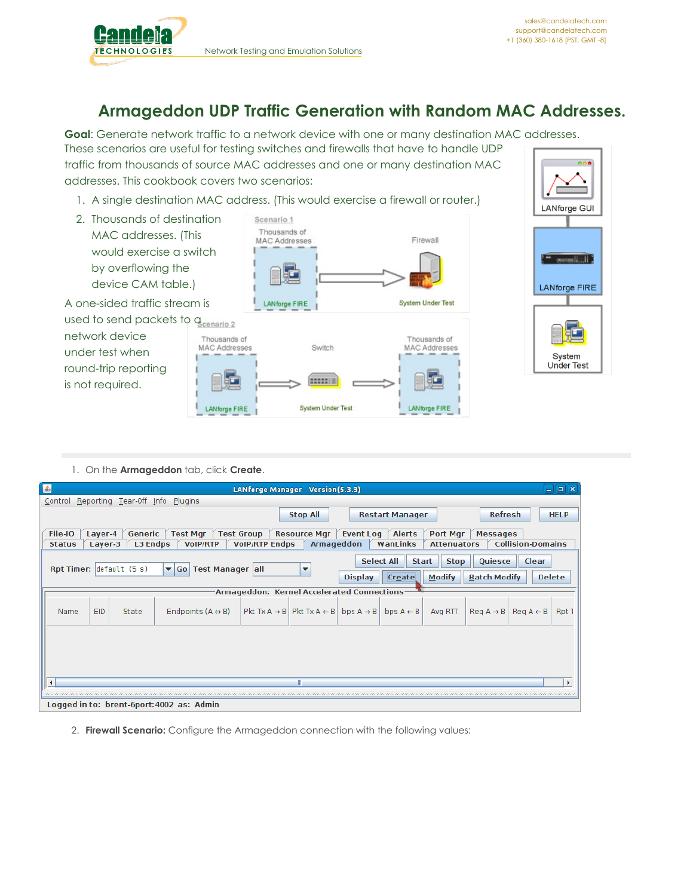

## **Armageddon UDP Traffic Generation with Random MAC Addresses.**

**Goal**: Generate network traffic to a network device with one or many destination MAC addresses. These scenarios are useful for testing switches and firewalls that have to handle UDP traffic from thousands of source MAC addresses and one or many destination MAC addresses. This cookbook covers two scenarios:

- 1. A single destination MAC address. (This would
- 2. Thousands of destination MAC addresses. (This would exercise a switch by overflowing the device CAM table.)

A one-sided traffic stream is used to send packets to a

network device under test when round-trip reporting is not required.

|                           |                          | AC dddress. (This would exercise a firewall or router.) |
|---------------------------|--------------------------|---------------------------------------------------------|
| on                        | Scenario 1               |                                                         |
|                           | Thousands of             | Firewall                                                |
| ۱h                        | <b>MAC Addresses</b>     |                                                         |
|                           |                          |                                                         |
|                           | <b>LANforge FIRE</b>     | <b>System Under Test</b>                                |
| mario 2                   |                          |                                                         |
| ousands of<br>C Addresses | Switch                   | Thousands of<br><b>MAC Addresses</b>                    |
|                           |                          |                                                         |
| ANforge FIRE              | <b>System Under Test</b> | LANforge FIRE                                           |
|                           |                          |                                                         |



## 1. On the **Armageddon** tab, click **Create**.

T) MA

| L.                                                                   |            |                 |                                             |                       | LANforge Manager Version(5.3.3)                      |                       |                          |                    |                                          |                              | اه ا د<br>ll x |
|----------------------------------------------------------------------|------------|-----------------|---------------------------------------------|-----------------------|------------------------------------------------------|-----------------------|--------------------------|--------------------|------------------------------------------|------------------------------|----------------|
| Control                                                              |            |                 | Reporting Tear-Off Info Plugins             |                       |                                                      |                       |                          |                    |                                          |                              |                |
|                                                                      |            |                 |                                             |                       | <b>Stop All</b>                                      |                       | <b>Restart Manager</b>   |                    | <b>Refresh</b>                           |                              | <b>HELP</b>    |
| File-IO                                                              | Layer-4    | Generic         | Test Mgr $\int$ Test Group                  |                       | <b>Resource Mgr</b>                                  |                       | Event Log $\vert$ Alerts | Port Mgr           | <b>Messages</b>                          |                              |                |
| <b>Status</b>                                                        | Layer-3    | <b>L3 Endps</b> | <b>VoIP/RTP</b>                             | <b>VoIP/RTP Endps</b> | Armageddon                                           |                       | WanLinks                 | <b>Attenuators</b> |                                          | <b>Collision-Domains</b>     |                |
| <b>Select All</b><br>Quiesce<br><b>Stop</b><br>Clear<br><b>Start</b> |            |                 |                                             |                       |                                                      |                       |                          |                    |                                          |                              |                |
| Rpt Timer: default (5 s)                                             |            |                 | Test Manager all<br>$\blacktriangledown$ Go |                       | ▼                                                    |                       |                          |                    |                                          |                              |                |
|                                                                      |            |                 |                                             |                       |                                                      | <b>Display</b>        | Create                   | <b>Modify</b>      | <b>Batch Modify</b>                      |                              | <b>Delete</b>  |
|                                                                      |            |                 |                                             |                       | Armageddon: Kernel Accelerated Connections           |                       |                          |                    |                                          |                              |                |
| Name                                                                 | <b>EID</b> | State           | Endpoints $(A \leftrightarrow B)$           |                       | $ $ Pkt Tx A $\rightarrow$ B Pkt Tx A $\leftarrow$ B | bps $A \rightarrow B$ | bps $A \leftarrow B$     | Avg RTT            | $\text{Re} q \land \rightarrow \text{B}$ | $\text{Req } A \leftarrow B$ | Rpt 1          |
|                                                                      |            |                 |                                             |                       |                                                      |                       |                          |                    |                                          |                              |                |
|                                                                      |            |                 |                                             |                       |                                                      |                       |                          |                    |                                          |                              |                |
|                                                                      |            |                 |                                             |                       |                                                      |                       |                          |                    |                                          |                              |                |
|                                                                      |            |                 |                                             |                       |                                                      |                       |                          |                    |                                          |                              |                |
| $\blacktriangleleft$                                                 |            |                 |                                             |                       |                                                      |                       |                          |                    |                                          |                              | Þ              |
|                                                                      |            |                 |                                             |                       |                                                      |                       |                          |                    |                                          |                              |                |
|                                                                      |            |                 | Logged in to: brent-6port:4002 as: Admin    |                       |                                                      |                       |                          |                    |                                          |                              |                |

2. **Firewall Scenario:** Configure the Armageddon connection with the following values: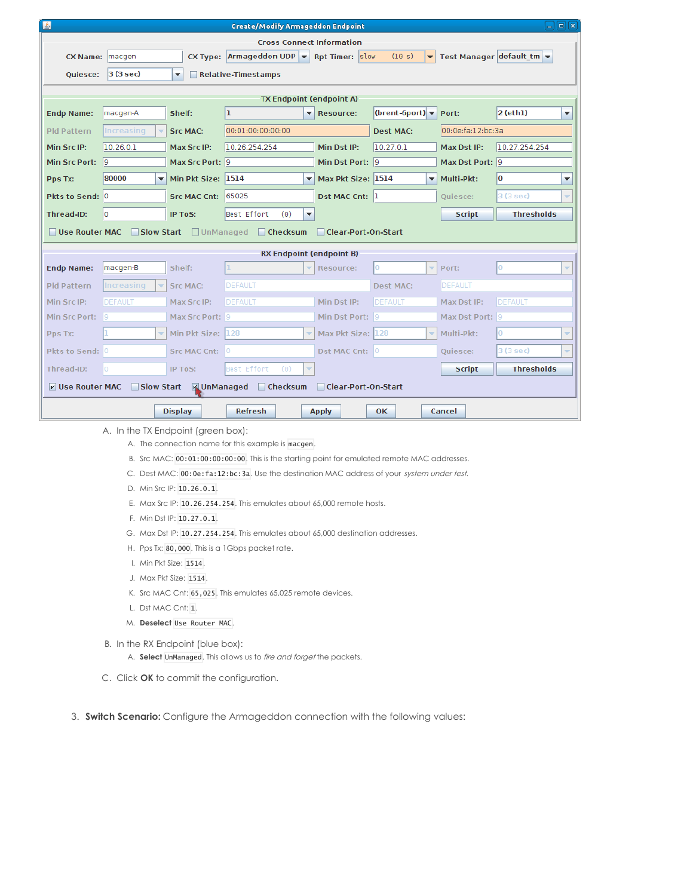| 国<br>$\Box$ [ $\Box$ [x]<br><b>Create/Modify Armageddon Endpoint</b>                  |                                                                                                                                         |                          |                    |                                                |                                    |                   |                   |  |
|---------------------------------------------------------------------------------------|-----------------------------------------------------------------------------------------------------------------------------------------|--------------------------|--------------------|------------------------------------------------|------------------------------------|-------------------|-------------------|--|
| <b>Cross Connect Information</b>                                                      |                                                                                                                                         |                          |                    |                                                |                                    |                   |                   |  |
| <b>CX Name:</b>                                                                       | CX Type: $\vert$ Armageddon UDP $\vert \mathbf{v} \vert$ Rpt Timer: $\vert$ slow<br>Test Manager default $tm$<br>(10 s)<br>macgen<br>▾▏ |                          |                    |                                                |                                    |                   |                   |  |
| Quiesce:                                                                              | 3(3 sec)                                                                                                                                | Relative-Timestamps<br>▼ |                    |                                                |                                    |                   |                   |  |
|                                                                                       |                                                                                                                                         |                          |                    |                                                |                                    |                   |                   |  |
|                                                                                       |                                                                                                                                         |                          |                    | <b>TX Endpoint (endpoint A)</b>                |                                    |                   |                   |  |
| <b>Endp Name:</b>                                                                     | macgen-A                                                                                                                                | Shelf:                   | ı                  | $\overline{\phantom{0}}$<br><b>Resource:</b>   | (brent-6port) $\blacktriangledown$ | Port:             | $2$ (eth1)<br>▼   |  |
| Pld Pattern                                                                           | Increasing                                                                                                                              | <b>Src MAC:</b>          | 00:01:00:00:00:00  |                                                | <b>Dest MAC:</b>                   | 00:0e:fa:12:bc:3a |                   |  |
| Min Src IP:                                                                           | 10.26.0.1                                                                                                                               | Max Src IP:              | 10.26.254.254      | Min Dst IP:                                    | 10.27.0.1                          | Max Dst IP:       | 10.27.254.254     |  |
| <b>Min Src Port:</b>                                                                  | 19                                                                                                                                      | Max Src Port: 9          |                    | Min Dst Port: 9                                |                                    | Max Dst Port: 9   |                   |  |
| Pps Tx:                                                                               | 80000<br>$\overline{\phantom{a}}$                                                                                                       | Min Pkt Size: 1514       |                    | Max Pkt Size: 1514<br>$\overline{\phantom{a}}$ | $\overline{\phantom{a}}$           | Multi-Pkt:        | 0<br>▼            |  |
| Pkts to Send: 0                                                                       |                                                                                                                                         | <b>Src MAC Cnt:</b>      | 65025              | Dst MAC Cnt: 1                                 |                                    | Quiesce:          | 3 (3 sec)         |  |
| Thread-ID:                                                                            | lo.                                                                                                                                     | <b>IP ToS:</b>           | Best Effort<br>(0) | ▼                                              |                                    | <b>Script</b>     | <b>Thresholds</b> |  |
| Use Router MAC                                                                        | Slow Start                                                                                                                              | □ UnManaged              | $\Box$ Checksum    | Clear-Port-On-Start                            |                                    |                   |                   |  |
|                                                                                       |                                                                                                                                         |                          |                    | <b>RX Endpoint (endpoint B)</b>                |                                    |                   |                   |  |
| <b>Endp Name:</b>                                                                     | macgen-B                                                                                                                                | Shelf:                   |                    | Resource:<br>÷                                 | Iо<br>÷                            | Port:             | 0                 |  |
|                                                                                       |                                                                                                                                         |                          |                    |                                                |                                    |                   |                   |  |
| <b>Pld Pattern</b>                                                                    | Increasing<br>$\overline{\phantom{a}}$                                                                                                  | <b>Src MAC:</b>          | DEFAULT            |                                                | <b>Dest MAC:</b>                   | <b>DEFAULT</b>    |                   |  |
| Min Src IP:                                                                           | DEFAULT                                                                                                                                 | Max Src IP:              | DEFAULT            | Min Dst IP:                                    | DEFAULT                            | Max Dst IP:       | DEFAULT           |  |
| Min Src Port:                                                                         | 19                                                                                                                                      | Max Src Port: 9          |                    | Min Dst Port: 9                                |                                    | Max Dst Port: 9   |                   |  |
| Pps Tx:                                                                               | $\overline{\phantom{a}}$                                                                                                                | Min Pkt Size: 128        |                    | Max Pkt Size: 128                              | $\overline{\phantom{0}}$           | Multi-Pkt:        | l0.               |  |
| Pkts to Send: 0                                                                       |                                                                                                                                         | <b>Src MAC Cnt:</b>      |                    | Dst MAC Cnt: 0                                 |                                    | Quiesce:          | 3 (3 sec)         |  |
| Thread-ID:                                                                            | 0                                                                                                                                       | IP ToS:                  | Best Effort<br>(0) |                                                |                                    | <b>Script</b>     | <b>Thresholds</b> |  |
| Slow Start MUnManaged<br>$\Box$ Checksum<br>□ Clear-Port-On-Start<br>V Use Router MAC |                                                                                                                                         |                          |                    |                                                |                                    |                   |                   |  |
| <b>Refresh</b><br><b>Display</b><br><b>Apply</b><br>0K.<br>Cancel                     |                                                                                                                                         |                          |                    |                                                |                                    |                   |                   |  |
|                                                                                       |                                                                                                                                         |                          |                    |                                                |                                    |                   |                   |  |

A. In the TX Endpoint (green box):

A. The connection name for this example is macgen.

- B. Src MAC: 00:01:00:00:00:00. This is the starting point for emulated remote MAC addresses.
- C. Dest MAC: 00:0e:fa:12:bc:3a. Use the destination MAC address of your system under test.
- D. Min Src IP: 10.26.0.1.
- E. Max Src IP: 10.26.254.254. This emulates about 65,000 remote hosts.
- F. Min Dst IP: 10.27.0.1.
- G. Max Dst IP: 10.27.254.254. This emulates about 65,000 destination addresses.
- H. Pps Tx: 80,000. This is a 1Gbps packet rate.
- I. Min Pkt Size: 1514.
- J. Max Pkt Size: 1514.
- K. Src MAC Cnt: 65,025. This emulates 65,025 remote devices.
- L. Dst MAC Cnt: 1.
- M. **Deselect** Use Router MAC.
- B. In the RX Endpoint (blue box):
	- A. **Select** UnManaged. This allows us to fire and forget the packets.
- C. Click **OK** to commit the configuration.
- 3. **Switch Scenario:** Configure the Armageddon connection with the following values: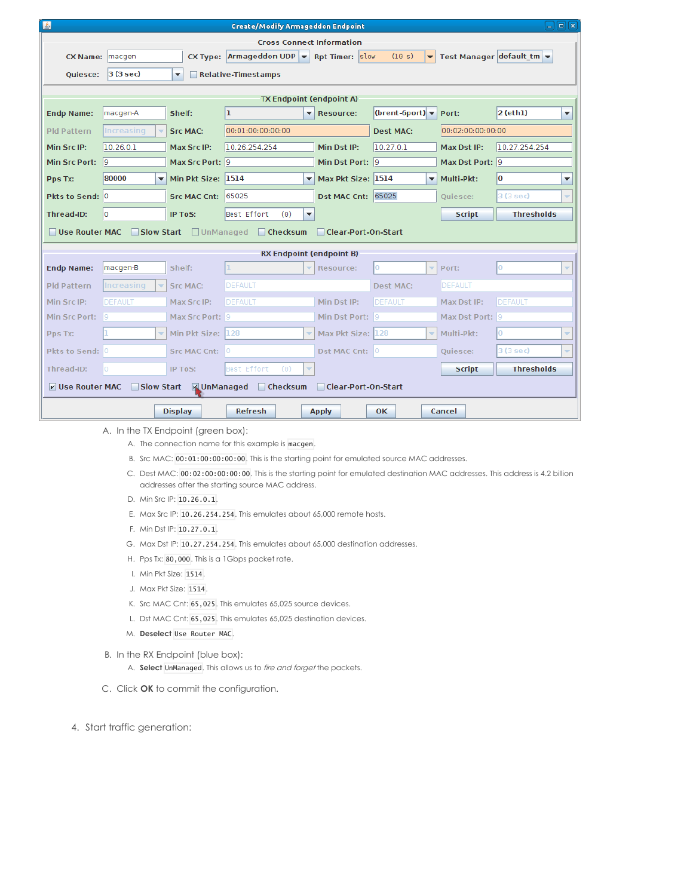| 国<br>日间区<br><b>Create/Modify Armageddon Endpoint</b>                                |                                                                  |                     |                                                                                                 |                                                |                                    |                           |                                |  |  |
|-------------------------------------------------------------------------------------|------------------------------------------------------------------|---------------------|-------------------------------------------------------------------------------------------------|------------------------------------------------|------------------------------------|---------------------------|--------------------------------|--|--|
| <b>Cross Connect Information</b>                                                    |                                                                  |                     |                                                                                                 |                                                |                                    |                           |                                |  |  |
| <b>CX Name:</b>                                                                     | macgen                                                           |                     | CX Type: $\vert$ Armageddon UDP $\vert \mathbf{v} \vert$ Rpt Timer: $\vert$ slow<br>(10 s)<br>▾ |                                                |                                    | Test Manager default $tm$ |                                |  |  |
| Quiesce:                                                                            | $ 3(3 \text{ sec}) $                                             | ▼                   | Relative-Timestamps                                                                             |                                                |                                    |                           |                                |  |  |
|                                                                                     |                                                                  |                     |                                                                                                 |                                                |                                    |                           |                                |  |  |
|                                                                                     |                                                                  |                     |                                                                                                 | <b>TX Endpoint (endpoint A)</b>                |                                    |                           |                                |  |  |
| <b>Endp Name:</b>                                                                   | macgen-A                                                         | Shelf:              | ı                                                                                               | ۰<br><b>Resource:</b>                          | (brent-6port) $\blacktriangledown$ | Port:                     | $2$ (eth1)<br>٠                |  |  |
| <b>Pld Pattern</b>                                                                  | Increasing                                                       | <b>Src MAC:</b>     | 00:01:00:00:00:00                                                                               |                                                | <b>Dest MAC:</b>                   | 00:02:00:00:00:00         |                                |  |  |
| Min Src IP:                                                                         | 10.26.0.1                                                        | Max Src IP:         | Min Dst IP:<br>10.26.254.254                                                                    |                                                | 10.27.0.1                          | Max Dst IP:               | 10.27.254.254                  |  |  |
| <b>Min Src Port:</b>                                                                | 19                                                               | Max Src Port: 9     |                                                                                                 | Min Dst Port: 9                                |                                    | Max Dst Port: 9           |                                |  |  |
| Pps Tx:                                                                             | 80000<br>$\overline{\phantom{a}}$                                | Min Pkt Size:       | 1514                                                                                            | Max Pkt Size: 1514<br>$\overline{\phantom{a}}$ | $\overline{\phantom{a}}$           | Multi-Pkt:                | lo<br>٠                        |  |  |
| Pkts to Send: 0                                                                     |                                                                  | <b>Src MAC Cnt:</b> | 65025                                                                                           | Dst MAC Cnt: 65025                             |                                    | Ouiesce:                  | 3(3 sec)<br>÷                  |  |  |
| Thread-ID:                                                                          | lo                                                               | IP ToS:             | Best Effort<br>(0)                                                                              | $\overline{\phantom{a}}$                       |                                    | <b>Script</b>             | <b>Thresholds</b>              |  |  |
| Use Router MAC                                                                      | Slow Start                                                       | □ UnManaged         | $\Box$ Checksum                                                                                 | Clear-Port-On-Start                            |                                    |                           |                                |  |  |
|                                                                                     |                                                                  |                     |                                                                                                 |                                                |                                    |                           |                                |  |  |
|                                                                                     |                                                                  |                     |                                                                                                 | <b>RX Endpoint (endpoint B)</b>                |                                    |                           |                                |  |  |
| <b>Endp Name:</b>                                                                   | macgen-B                                                         | Shelf:              |                                                                                                 | ÷<br>Resource:                                 | Iо<br>÷                            | Port:                     | lо<br>$\overline{\phantom{a}}$ |  |  |
| <b>Pld Pattern</b>                                                                  | Increasing                                                       | <b>Src MAC:</b>     | DEFAULT                                                                                         |                                                | <b>Dest MAC:</b>                   | DEFAULT                   |                                |  |  |
| Min Src IP:                                                                         | DEFAULT                                                          | Max Src IP:         | DEFAULT                                                                                         | Min Dst IP:                                    | DEFAULT                            | Max Dst IP:               | DEFAULT                        |  |  |
| Min Src Port: 9                                                                     |                                                                  | Max Src Port: 9     |                                                                                                 | Min Dst Port: 9                                |                                    | Max Dst Port: 9           |                                |  |  |
| Pps Tx:                                                                             | $\overline{\phantom{a}}$                                         | Min Pkt Size:       | 128                                                                                             | Max Pkt Size: 128<br>÷                         | ÷                                  | Multi-Pkt:                | Iо<br>÷                        |  |  |
| Pkts to Send: 0                                                                     |                                                                  | <b>Src MAC Cnt:</b> | l0.                                                                                             | Dst MAC Cnt: 0                                 |                                    | Quiesce:                  | 3(3 sec)<br>÷                  |  |  |
| Thread-ID:                                                                          | O                                                                | IP ToS:             | Best Effort<br>(0)                                                                              |                                                |                                    | <b>Script</b>             | <b>Thresholds</b>              |  |  |
| Slow Start MUnManaged<br>$\Box$ Checksum<br>V Use Router MAC<br>Clear-Port-On-Start |                                                                  |                     |                                                                                                 |                                                |                                    |                           |                                |  |  |
|                                                                                     |                                                                  |                     |                                                                                                 |                                                |                                    |                           |                                |  |  |
|                                                                                     | <b>Refresh</b><br><b>Display</b><br>OK<br>Cancel<br><b>Apply</b> |                     |                                                                                                 |                                                |                                    |                           |                                |  |  |

A. In the TX Endpoint (green box):

A. The connection name for this example is macgen.

- B. Src MAC: 00:01:00:00:00:00. This is the starting point for emulated source MAC addresses.
- C. Dest MAC: 00:02:00:00:00:00. This is the starting point for emulated destination MAC addresses. This address is 4.2 billion addresses after the starting source MAC address.
- D. Min Src IP: 10.26.0.1.
- E. Max Src IP: 10.26.254.254. This emulates about 65,000 remote hosts.
- F. Min Dst IP: 10.27.0.1.
- G. Max Dst IP: 10.27.254.254. This emulates about 65,000 destination addresses.
- H. Pps Tx: 80,000. This is a 1Gbps packet rate.
- I. Min Pkt Size: 1514.
- J. Max Pkt Size: 1514.
- K. Src MAC Cnt: 65,025. This emulates 65,025 source devices.
- L. Dst MAC Cnt: 65,025. This emulates 65,025 destination devices.
- M. **Deselect** Use Router MAC.
- B. In the RX Endpoint (blue box):

A. **Select** UnManaged. This allows us to fire and forget the packets.

- C. Click **OK** to commit the configuration.
- 4. Start traffic generation: